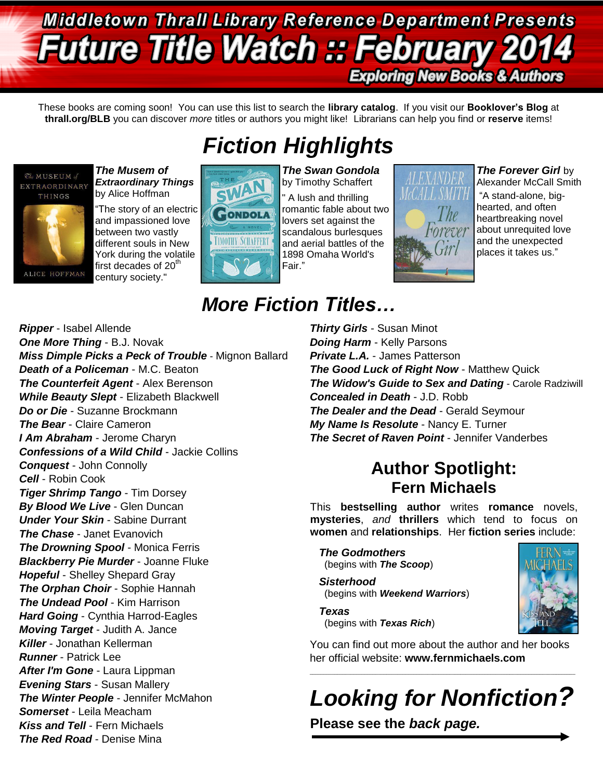## **Middletown Thrall Library Reference Department Presents Future Title Watch :: February Exploring New Books & Authors**

These books are coming soon! You can use this list to search the **library catalog**. If you visit our **Booklover's Blog** at **thrall.org/BLB** you can discover *more* titles or authors you might like! Librarians can help you find or **reserve** items!

*Fiction Highlights*



*The Musem of Extraordinary Things* by Alice Hoffman

"The story of an electric and impassioned love between two vastly different souls in New York during the volatile first decades of 20<sup>th</sup> century society."



*The Swan Gondola* by Timothy Schaffert A lush and thrilling romantic fable about two lovers set against the scandalous burlesques and aerial battles of the 1898 Omaha World's Fair."



### *The Forever Girl* by

Alexander McCall Smith "A stand-alone, bighearted, and often heartbreaking novel about unrequited love and the unexpected places it takes us."

### *Ripper* - Isabel Allende *One More Thing* - B.J. Novak *Miss Dimple Picks a Peck of Trouble* - Mignon Ballard *Death of a Policeman* - M.C. Beaton *The Counterfeit Agent - Alex Berenson While Beauty Slept* - Elizabeth Blackwell *Do or Die* - Suzanne Brockmann *The Bear* - Claire Cameron *I Am Abraham* - Jerome Charyn *Confessions of a Wild Child* - Jackie Collins *Conquest* - John Connolly *Cell* - Robin Cook *Tiger Shrimp Tango* - Tim Dorsey *By Blood We Live* - Glen Duncan *Under Your Skin* - Sabine Durrant *The Chase* - Janet Evanovich *The Drowning Spool* - Monica Ferris *Blackberry Pie Murder* - Joanne Fluke *Hopeful* - Shelley Shepard Gray *The Orphan Choir* - Sophie Hannah *The Undead Pool* - Kim Harrison *Hard Going* - Cynthia Harrod-Eagles *Moving Target* - Judith A. Jance *Killer* - Jonathan Kellerman *Runner* - Patrick Lee *After I'm Gone* - Laura Lippman *Evening Stars* - Susan Mallery *The Winter People* - Jennifer McMahon *Somerset* - Leila Meacham *Kiss and Tell* - Fern Michaels *The Red Road* - Denise Mina

## *More Fiction Titles…*

*Thirty Girls* - Susan Minot *Doing Harm* - Kelly Parsons *Private L.A.* - James Patterson **The Good Luck of Right Now - Matthew Quick** *The Widow's Guide to Sex and Dating* - Carole Radziwill *Concealed in Death* - J.D. Robb *The Dealer and the Dead* - Gerald Seymour *My Name Is Resolute* - Nancy E. Turner *The Secret of Raven Point* - Jennifer Vanderbes

### **Author Spotlight: Fern Michaels**

This **bestselling author** writes **romance** novels, **mysteries**, *and* **thrillers** which tend to focus on **women** and **relationships**. Her **fiction series** include:

*The Godmothers* (begins with *The Scoop*)

*Sisterhood* (begins with *Weekend Warriors*)

*Texas* (begins with *Texas Rich*)



*Looking for Nonfiction?*

 $\_$  ,  $\_$  ,  $\_$  ,  $\_$  ,  $\_$  ,  $\_$  ,  $\_$  ,  $\_$  ,  $\_$  ,  $\_$  ,  $\_$  ,  $\_$  ,  $\_$  ,  $\_$  ,  $\_$  ,  $\_$  ,  $\_$  ,  $\_$  ,  $\_$  ,  $\_$  ,  $\_$  ,  $\_$  ,  $\_$  ,  $\_$  ,  $\_$  ,  $\_$  ,  $\_$  ,  $\_$  ,  $\_$  ,  $\_$  ,  $\_$  ,  $\_$  ,  $\_$  ,  $\_$  ,  $\_$  ,  $\_$  ,  $\_$  ,

**Please see the** *back page.*